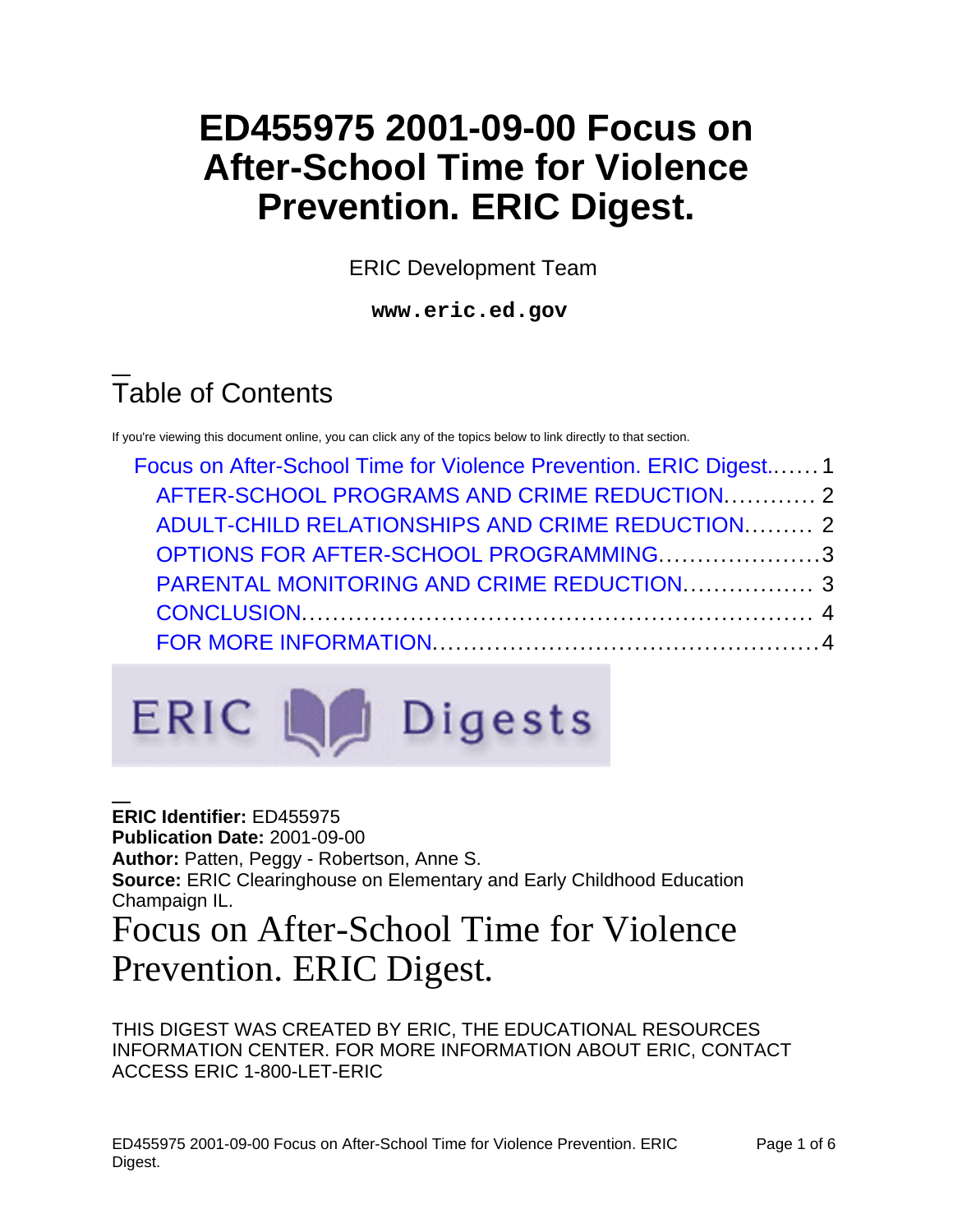# **ED455975 2001-09-00 Focus on After-School Time for Violence Prevention. ERIC Digest.**

ERIC Development Team

**www.eric.ed.gov**

# Table of Contents

If you're viewing this document online, you can click any of the topics below to link directly to that section.

| Focus on After-School Time for Violence Prevention. ERIC Digest 1                                                                     |  |  |
|---------------------------------------------------------------------------------------------------------------------------------------|--|--|
| AFTER-SCHOOL PROGRAMS AND CRIME REDUCTION.  2                                                                                         |  |  |
| ADULT-CHILD RELATIONSHIPS AND CRIME REDUCTION 2<br>OPTIONS FOR AFTER-SCHOOL PROGRAMMING3<br>PARENTAL MONITORING AND CRIME REDUCTION 3 |  |  |
|                                                                                                                                       |  |  |
|                                                                                                                                       |  |  |
|                                                                                                                                       |  |  |



#### <span id="page-0-0"></span>**ERIC Identifier:** ED455975 **Publication Date:** 2001-09-00 **Author:** Patten, Peggy - Robertson, Anne S. **Source:** ERIC Clearinghouse on Elementary and Early Childhood Education Champaign IL. Focus on After-School Time for Violence Prevention. ERIC Digest.

THIS DIGEST WAS CREATED BY ERIC, THE EDUCATIONAL RESOURCES INFORMATION CENTER. FOR MORE INFORMATION ABOUT ERIC, CONTACT ACCESS ERIC 1-800-LET-ERIC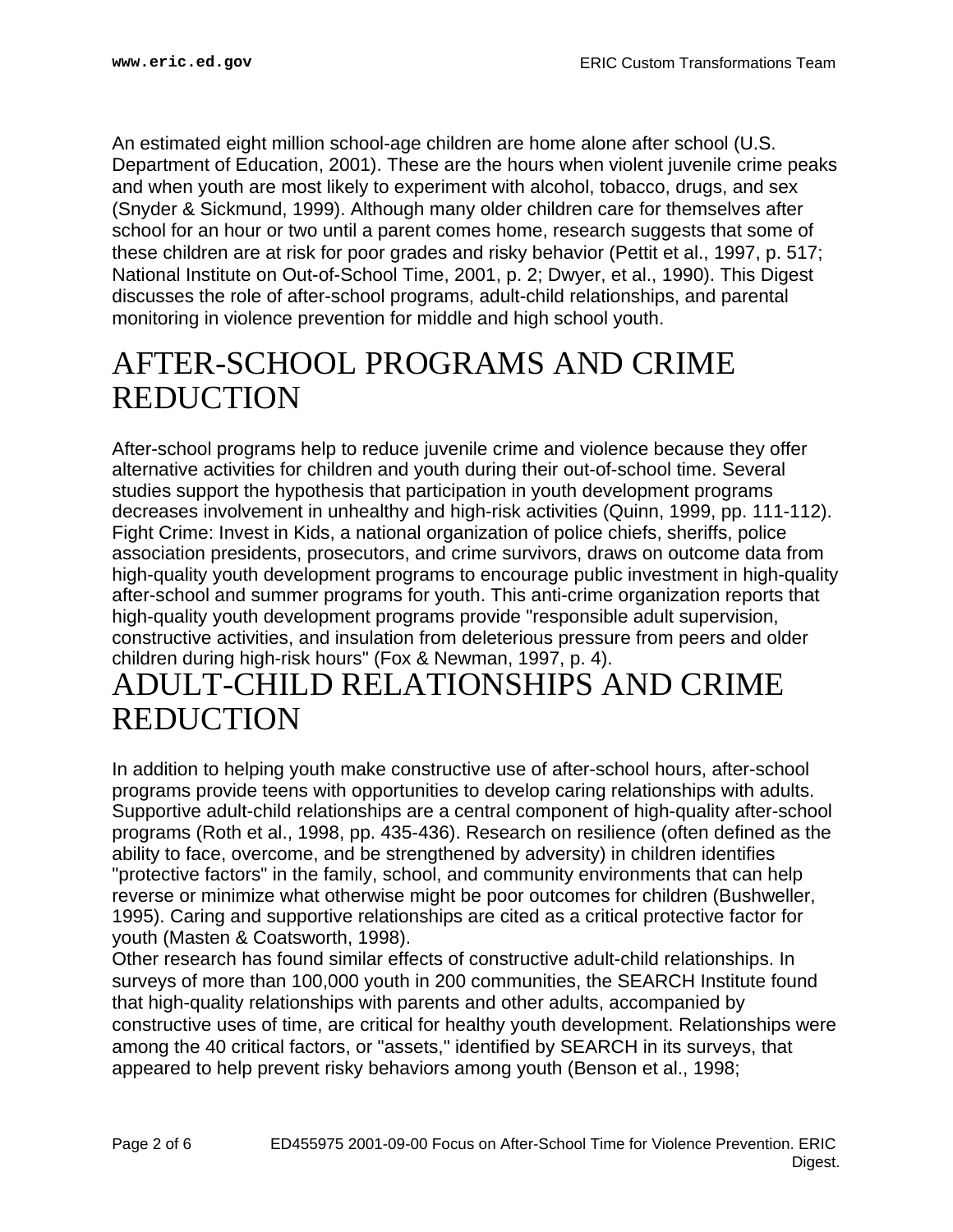An estimated eight million school-age children are home alone after school (U.S. Department of Education, 2001). These are the hours when violent juvenile crime peaks and when youth are most likely to experiment with alcohol, tobacco, drugs, and sex (Snyder & Sickmund, 1999). Although many older children care for themselves after school for an hour or two until a parent comes home, research suggests that some of these children are at risk for poor grades and risky behavior (Pettit et al., 1997, p. 517; National Institute on Out-of-School Time, 2001, p. 2; Dwyer, et al., 1990). This Digest discusses the role of after-school programs, adult-child relationships, and parental monitoring in violence prevention for middle and high school youth.

### <span id="page-1-0"></span>AFTER-SCHOOL PROGRAMS AND CRIME REDUCTION

After-school programs help to reduce juvenile crime and violence because they offer alternative activities for children and youth during their out-of-school time. Several studies support the hypothesis that participation in youth development programs decreases involvement in unhealthy and high-risk activities (Quinn, 1999, pp. 111-112). Fight Crime: Invest in Kids, a national organization of police chiefs, sheriffs, police association presidents, prosecutors, and crime survivors, draws on outcome data from high-quality youth development programs to encourage public investment in high-quality after-school and summer programs for youth. This anti-crime organization reports that high-quality youth development programs provide "responsible adult supervision, constructive activities, and insulation from deleterious pressure from peers and older children during high-risk hours" (Fox & Newman, 1997, p. 4).

#### <span id="page-1-1"></span>ADULT-CHILD RELATIONSHIPS AND CRIME REDUCTION

In addition to helping youth make constructive use of after-school hours, after-school programs provide teens with opportunities to develop caring relationships with adults. Supportive adult-child relationships are a central component of high-quality after-school programs (Roth et al., 1998, pp. 435-436). Research on resilience (often defined as the ability to face, overcome, and be strengthened by adversity) in children identifies "protective factors" in the family, school, and community environments that can help reverse or minimize what otherwise might be poor outcomes for children (Bushweller, 1995). Caring and supportive relationships are cited as a critical protective factor for youth (Masten & Coatsworth, 1998).

Other research has found similar effects of constructive adult-child relationships. In surveys of more than 100,000 youth in 200 communities, the SEARCH Institute found that high-quality relationships with parents and other adults, accompanied by constructive uses of time, are critical for healthy youth development. Relationships were among the 40 critical factors, or "assets," identified by SEARCH in its surveys, that appeared to help prevent risky behaviors among youth (Benson et al., 1998;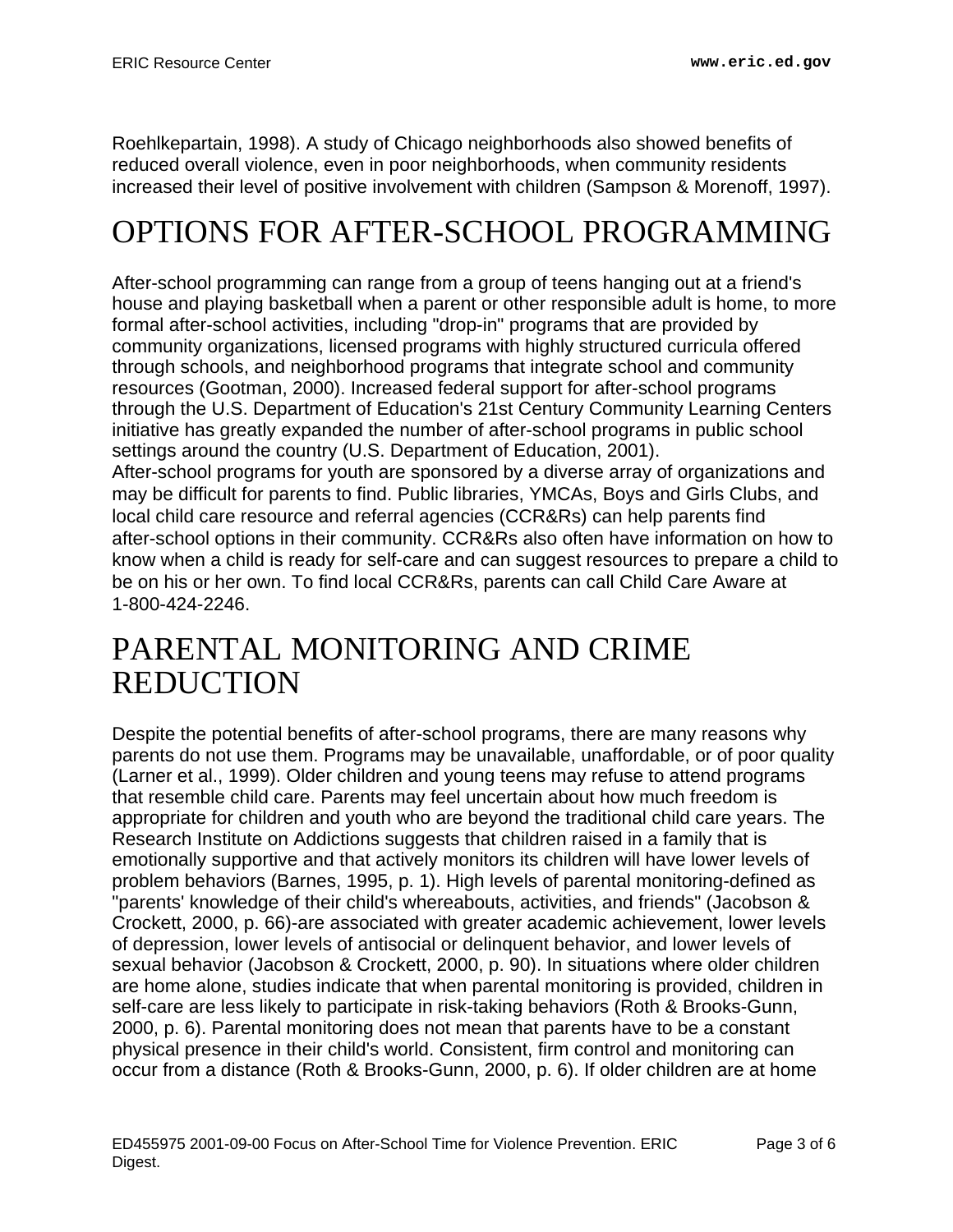Roehlkepartain, 1998). A study of Chicago neighborhoods also showed benefits of reduced overall violence, even in poor neighborhoods, when community residents increased their level of positive involvement with children (Sampson & Morenoff, 1997).

## <span id="page-2-0"></span>OPTIONS FOR AFTER-SCHOOL PROGRAMMING

After-school programming can range from a group of teens hanging out at a friend's house and playing basketball when a parent or other responsible adult is home, to more formal after-school activities, including "drop-in" programs that are provided by community organizations, licensed programs with highly structured curricula offered through schools, and neighborhood programs that integrate school and community resources (Gootman, 2000). Increased federal support for after-school programs through the U.S. Department of Education's 21st Century Community Learning Centers initiative has greatly expanded the number of after-school programs in public school settings around the country (U.S. Department of Education, 2001).

After-school programs for youth are sponsored by a diverse array of organizations and may be difficult for parents to find. Public libraries, YMCAs, Boys and Girls Clubs, and local child care resource and referral agencies (CCR&Rs) can help parents find after-school options in their community. CCR&Rs also often have information on how to know when a child is ready for self-care and can suggest resources to prepare a child to be on his or her own. To find local CCR&Rs, parents can call Child Care Aware at 1-800-424-2246.

### <span id="page-2-1"></span>PARENTAL MONITORING AND CRIME REDUCTION

Despite the potential benefits of after-school programs, there are many reasons why parents do not use them. Programs may be unavailable, unaffordable, or of poor quality (Larner et al., 1999). Older children and young teens may refuse to attend programs that resemble child care. Parents may feel uncertain about how much freedom is appropriate for children and youth who are beyond the traditional child care years. The Research Institute on Addictions suggests that children raised in a family that is emotionally supportive and that actively monitors its children will have lower levels of problem behaviors (Barnes, 1995, p. 1). High levels of parental monitoring-defined as "parents' knowledge of their child's whereabouts, activities, and friends" (Jacobson & Crockett, 2000, p. 66)-are associated with greater academic achievement, lower levels of depression, lower levels of antisocial or delinquent behavior, and lower levels of sexual behavior (Jacobson & Crockett, 2000, p. 90). In situations where older children are home alone, studies indicate that when parental monitoring is provided, children in self-care are less likely to participate in risk-taking behaviors (Roth & Brooks-Gunn, 2000, p. 6). Parental monitoring does not mean that parents have to be a constant physical presence in their child's world. Consistent, firm control and monitoring can occur from a distance (Roth & Brooks-Gunn, 2000, p. 6). If older children are at home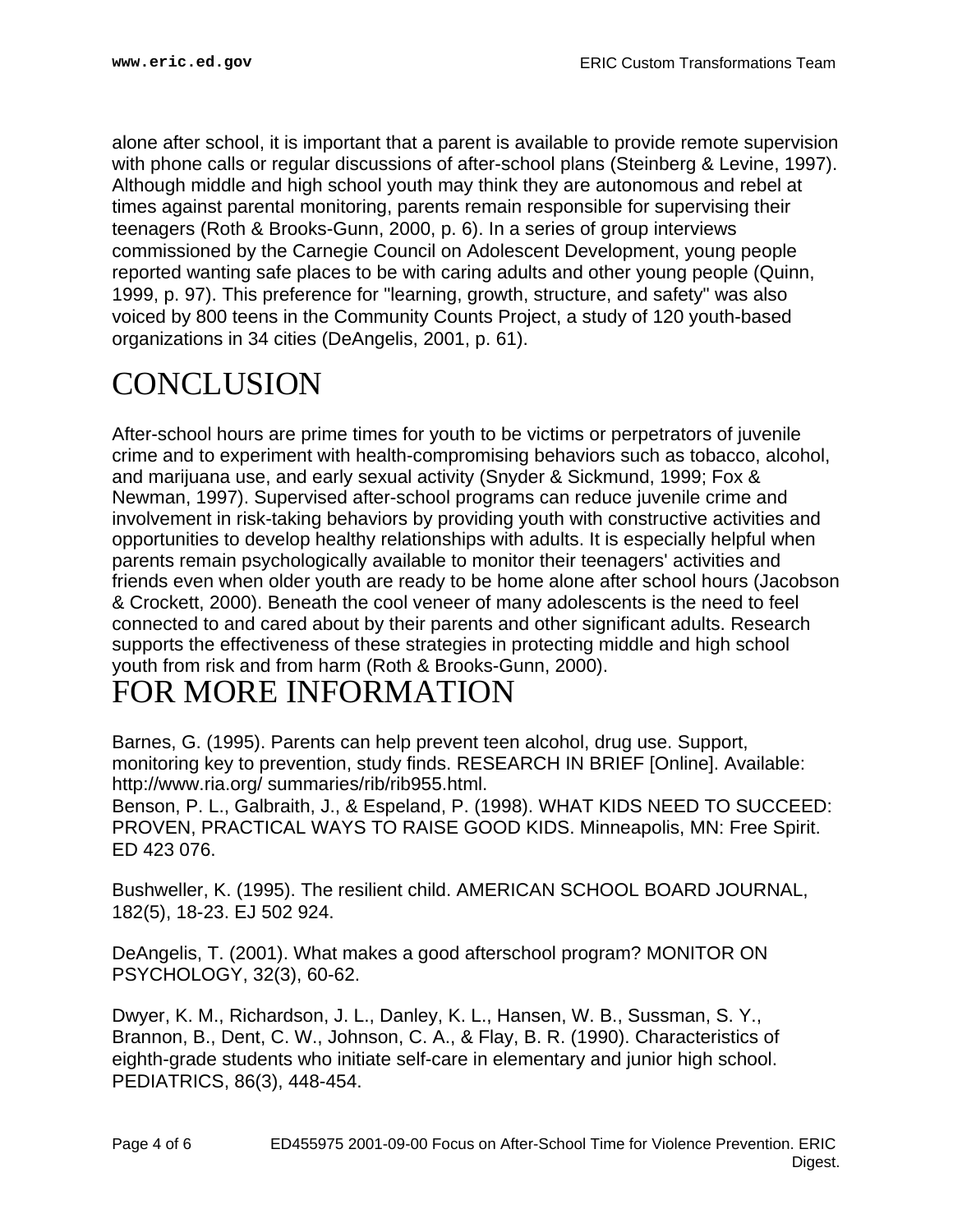alone after school, it is important that a parent is available to provide remote supervision with phone calls or regular discussions of after-school plans (Steinberg & Levine, 1997). Although middle and high school youth may think they are autonomous and rebel at times against parental monitoring, parents remain responsible for supervising their teenagers (Roth & Brooks-Gunn, 2000, p. 6). In a series of group interviews commissioned by the Carnegie Council on Adolescent Development, young people reported wanting safe places to be with caring adults and other young people (Quinn, 1999, p. 97). This preference for "learning, growth, structure, and safety" was also voiced by 800 teens in the Community Counts Project, a study of 120 youth-based organizations in 34 cities (DeAngelis, 2001, p. 61).

### <span id="page-3-0"></span>**CONCLUSION**

After-school hours are prime times for youth to be victims or perpetrators of juvenile crime and to experiment with health-compromising behaviors such as tobacco, alcohol, and marijuana use, and early sexual activity (Snyder & Sickmund, 1999; Fox & Newman, 1997). Supervised after-school programs can reduce juvenile crime and involvement in risk-taking behaviors by providing youth with constructive activities and opportunities to develop healthy relationships with adults. It is especially helpful when parents remain psychologically available to monitor their teenagers' activities and friends even when older youth are ready to be home alone after school hours (Jacobson & Crockett, 2000). Beneath the cool veneer of many adolescents is the need to feel connected to and cared about by their parents and other significant adults. Research supports the effectiveness of these strategies in protecting middle and high school youth from risk and from harm (Roth & Brooks-Gunn, 2000).

### <span id="page-3-1"></span>FOR MORE INFORMATION

Barnes, G. (1995). Parents can help prevent teen alcohol, drug use. Support, monitoring key to prevention, study finds. RESEARCH IN BRIEF [Online]. Available: http://www.ria.org/ summaries/rib/rib955.html.

Benson, P. L., Galbraith, J., & Espeland, P. (1998). WHAT KIDS NEED TO SUCCEED: PROVEN, PRACTICAL WAYS TO RAISE GOOD KIDS. Minneapolis, MN: Free Spirit. ED 423 076.

Bushweller, K. (1995). The resilient child. AMERICAN SCHOOL BOARD JOURNAL, 182(5), 18-23. EJ 502 924.

DeAngelis, T. (2001). What makes a good afterschool program? MONITOR ON PSYCHOLOGY, 32(3), 60-62.

Dwyer, K. M., Richardson, J. L., Danley, K. L., Hansen, W. B., Sussman, S. Y., Brannon, B., Dent, C. W., Johnson, C. A., & Flay, B. R. (1990). Characteristics of eighth-grade students who initiate self-care in elementary and junior high school. PEDIATRICS, 86(3), 448-454.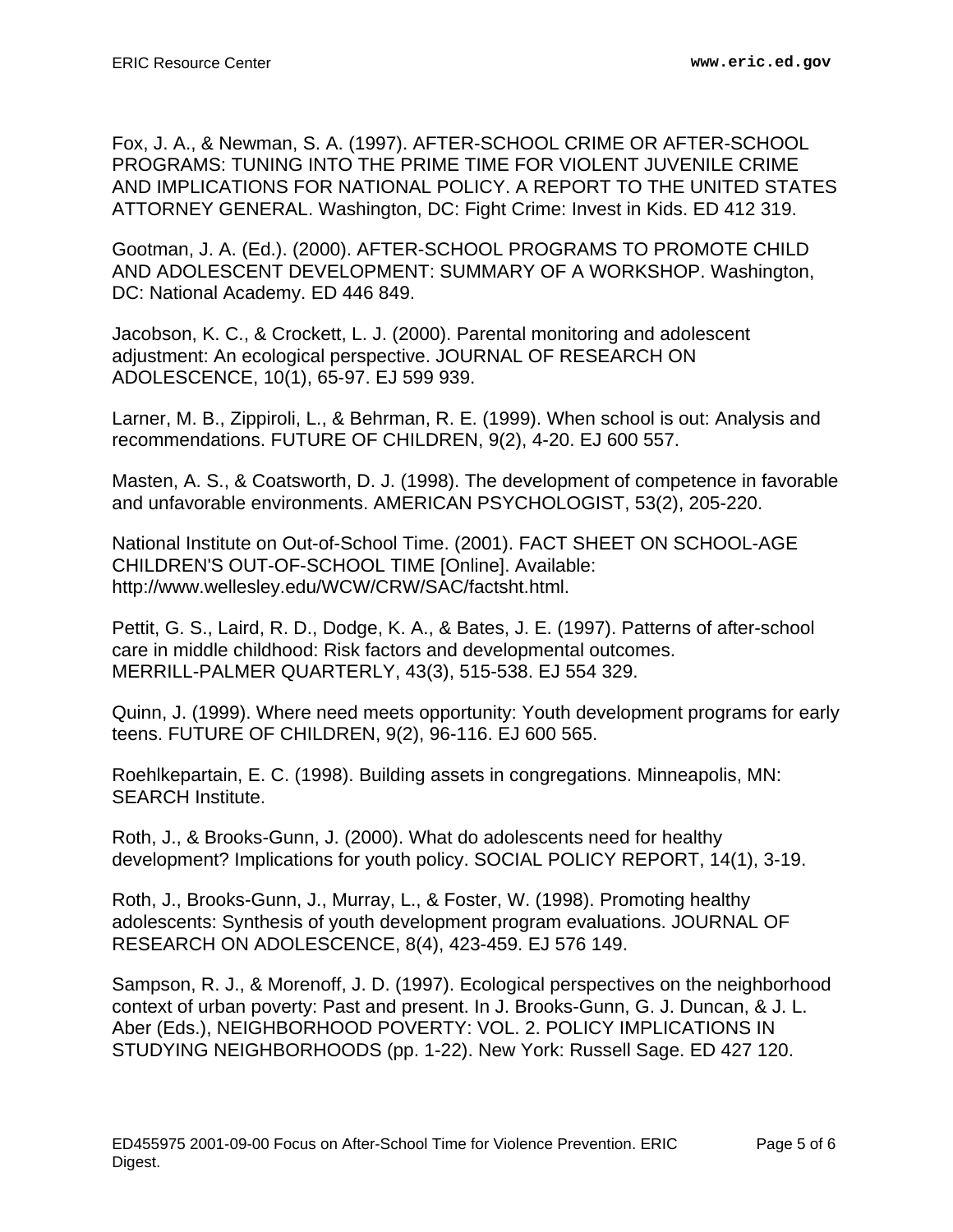Fox, J. A., & Newman, S. A. (1997). AFTER-SCHOOL CRIME OR AFTER-SCHOOL PROGRAMS: TUNING INTO THE PRIME TIME FOR VIOLENT JUVENILE CRIME AND IMPLICATIONS FOR NATIONAL POLICY. A REPORT TO THE UNITED STATES ATTORNEY GENERAL. Washington, DC: Fight Crime: Invest in Kids. ED 412 319.

Gootman, J. A. (Ed.). (2000). AFTER-SCHOOL PROGRAMS TO PROMOTE CHILD AND ADOLESCENT DEVELOPMENT: SUMMARY OF A WORKSHOP. Washington, DC: National Academy. ED 446 849.

Jacobson, K. C., & Crockett, L. J. (2000). Parental monitoring and adolescent adjustment: An ecological perspective. JOURNAL OF RESEARCH ON ADOLESCENCE, 10(1), 65-97. EJ 599 939.

Larner, M. B., Zippiroli, L., & Behrman, R. E. (1999). When school is out: Analysis and recommendations. FUTURE OF CHILDREN, 9(2), 4-20. EJ 600 557.

Masten, A. S., & Coatsworth, D. J. (1998). The development of competence in favorable and unfavorable environments. AMERICAN PSYCHOLOGIST, 53(2), 205-220.

National Institute on Out-of-School Time. (2001). FACT SHEET ON SCHOOL-AGE CHILDREN'S OUT-OF-SCHOOL TIME [Online]. Available: http://www.wellesley.edu/WCW/CRW/SAC/factsht.html.

Pettit, G. S., Laird, R. D., Dodge, K. A., & Bates, J. E. (1997). Patterns of after-school care in middle childhood: Risk factors and developmental outcomes. MERRILL-PALMER QUARTERLY, 43(3), 515-538. EJ 554 329.

Quinn, J. (1999). Where need meets opportunity: Youth development programs for early teens. FUTURE OF CHILDREN, 9(2), 96-116. EJ 600 565.

Roehlkepartain, E. C. (1998). Building assets in congregations. Minneapolis, MN: SEARCH Institute.

Roth, J., & Brooks-Gunn, J. (2000). What do adolescents need for healthy development? Implications for youth policy. SOCIAL POLICY REPORT, 14(1), 3-19.

Roth, J., Brooks-Gunn, J., Murray, L., & Foster, W. (1998). Promoting healthy adolescents: Synthesis of youth development program evaluations. JOURNAL OF RESEARCH ON ADOLESCENCE, 8(4), 423-459. EJ 576 149.

Sampson, R. J., & Morenoff, J. D. (1997). Ecological perspectives on the neighborhood context of urban poverty: Past and present. In J. Brooks-Gunn, G. J. Duncan, & J. L. Aber (Eds.), NEIGHBORHOOD POVERTY: VOL. 2. POLICY IMPLICATIONS IN STUDYING NEIGHBORHOODS (pp. 1-22). New York: Russell Sage. ED 427 120.